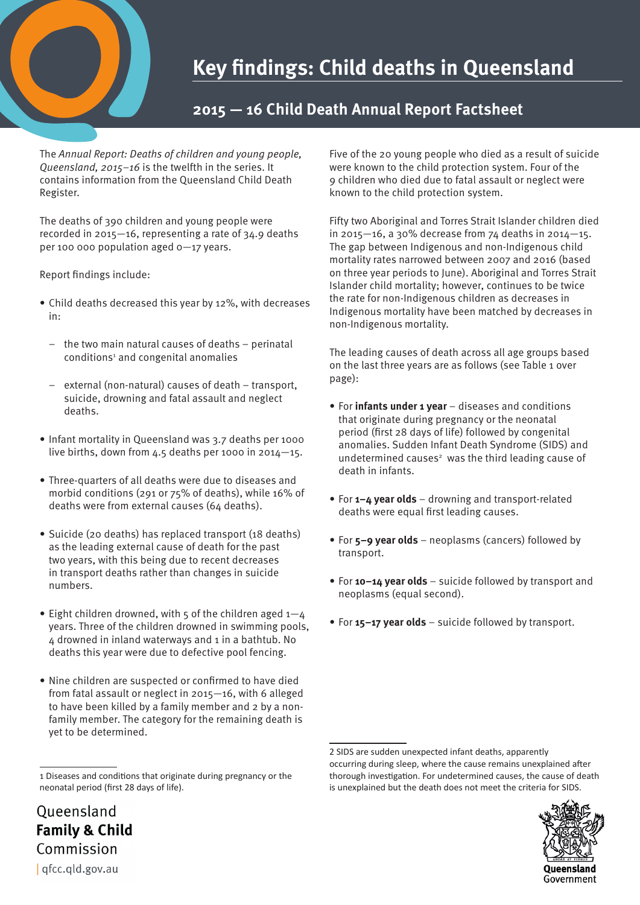## **Key findings: Child deaths in Queensland**

## **2015 — 16 Child Death Annual Report Factsheet**

The *Annual Report: Deaths of children and young people, Queensland, 2015–16* is the twelfth in the series. It contains information from the Queensland Child Death Register.

The deaths of 390 children and young people were recorded in 2015—16, representing a rate of 34.9 deaths per 100 000 population aged 0—17 years.

Report findings include:

- Child deaths decreased this year by 12%, with decreases in:
	- the two main natural causes of deaths perinatal conditions<sup>1</sup> and congenital anomalies
	- external (non-natural) causes of death transport, suicide, drowning and fatal assault and neglect deaths.
- Infant mortality in Queensland was 3.7 deaths per 1000 live births, down from 4.5 deaths per 1000 in 2014—15.
- Three-quarters of all deaths were due to diseases and morbid conditions (291 or 75% of deaths), while 16% of deaths were from external causes (64 deaths).
- Suicide (20 deaths) has replaced transport (18 deaths) as the leading external cause of death for the past two years, with this being due to recent decreases in transport deaths rather than changes in suicide numbers.
- Eight children drowned, with  $5$  of the children aged  $1-4$ years. Three of the children drowned in swimming pools, 4 drowned in inland waterways and 1 in a bathtub. No deaths this year were due to defective pool fencing.
- Nine children are suspected or confirmed to have died from fatal assault or neglect in 2015—16, with 6 alleged to have been killed by a family member and 2 by a nonfamily member. The category for the remaining death is yet to be determined.

Five of the 20 young people who died as a result of suicide were known to the child protection system. Four of the 9 children who died due to fatal assault or neglect were known to the child protection system.

Fifty two Aboriginal and Torres Strait Islander children died in 2015—16, a 30% decrease from 74 deaths in 2014—15. The gap between Indigenous and non-Indigenous child mortality rates narrowed between 2007 and 2016 (based on three year periods to June). Aboriginal and Torres Strait Islander child mortality; however, continues to be twice the rate for non-Indigenous children as decreases in Indigenous mortality have been matched by decreases in non-Indigenous mortality.

The leading causes of death across all age groups based on the last three years are as follows (see Table 1 over page):

- For **infants under 1 year** diseases and conditions that originate during pregnancy or the neonatal period (first 28 days of life) followed by congenital anomalies. Sudden Infant Death Syndrome (SIDS) and undetermined causes<sup>2</sup> was the third leading cause of death in infants.
- For **1–4 year olds**  drowning and transport-related deaths were equal first leading causes.
- For **5–9 year olds**  neoplasms (cancers) followed by transport.
- For **10–14 year olds**  suicide followed by transport and neoplasms (equal second).
- For **15–17 year olds**  suicide followed by transport.

<sup>2</sup> SIDS are sudden unexpected infant deaths, apparently occurring during sleep, where the cause remains unexplained after thorough investigation. For undetermined causes, the cause of death is unexplained but the death does not meet the criteria for SIDS.



Queensland **Family & Child** Commission | afcc.ald.gov.au

<sup>1</sup> Diseases and conditions that originate during pregnancy or the neonatal period (first 28 days of life).